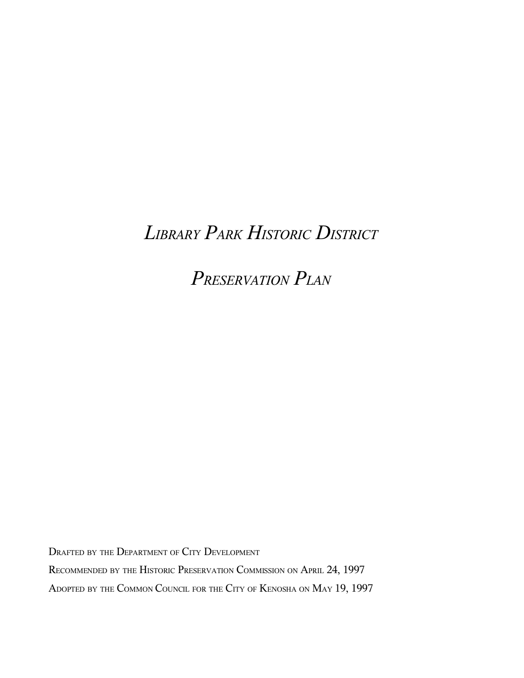# *LIBRARY PARK HISTORIC DISTRICT*

*PRESERVATION PLAN*

DRAFTED BY THE DEPARTMENT OF CITY DEVELOPMENT

RECOMMENDED BY THE HISTORIC PRESERVATION COMMISSION ON APRIL 24, 1997

ADOPTED BY THE COMMON COUNCIL FOR THE CITY OF KENOSHA ON MAY 19, 1997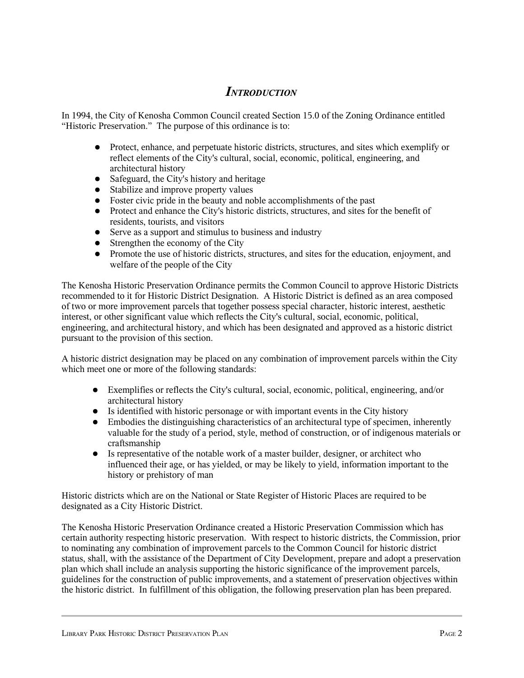# *INTRODUCTION*

In 1994, the City of Kenosha Common Council created Section 15.0 of the Zoning Ordinance entitled "Historic Preservation." The purpose of this ordinance is to:

- Protect, enhance, and perpetuate historic districts, structures, and sites which exemplify or reflect elements of the City's cultural, social, economic, political, engineering, and architectural history
- Safeguard, the City's history and heritage
- Stabilize and improve property values
- Foster civic pride in the beauty and noble accomplishments of the past
- Protect and enhance the City's historic districts, structures, and sites for the benefit of residents, tourists, and visitors
- Serve as a support and stimulus to business and industry
- Strengthen the economy of the City
- Promote the use of historic districts, structures, and sites for the education, enjoyment, and welfare of the people of the City

The Kenosha Historic Preservation Ordinance permits the Common Council to approve Historic Districts recommended to it for Historic District Designation. A Historic District is defined as an area composed of two or more improvement parcels that together possess special character, historic interest, aesthetic interest, or other significant value which reflects the City's cultural, social, economic, political, engineering, and architectural history, and which has been designated and approved as a historic district pursuant to the provision of this section.

A historic district designation may be placed on any combination of improvement parcels within the City which meet one or more of the following standards:

- Exemplifies or reflects the City's cultural, social, economic, political, engineering, and/or architectural history
- Is identified with historic personage or with important events in the City history
- Embodies the distinguishing characteristics of an architectural type of specimen, inherently valuable for the study of a period, style, method of construction, or of indigenous materials or craftsmanship
- Is representative of the notable work of a master builder, designer, or architect who influenced their age, or has yielded, or may be likely to yield, information important to the history or prehistory of man

Historic districts which are on the National or State Register of Historic Places are required to be designated as a City Historic District.

The Kenosha Historic Preservation Ordinance created a Historic Preservation Commission which has certain authority respecting historic preservation. With respect to historic districts, the Commission, prior to nominating any combination of improvement parcels to the Common Council for historic district status, shall, with the assistance of the Department of City Development, prepare and adopt a preservation plan which shall include an analysis supporting the historic significance of the improvement parcels, guidelines for the construction of public improvements, and a statement of preservation objectives within the historic district. In fulfillment of this obligation, the following preservation plan has been prepared.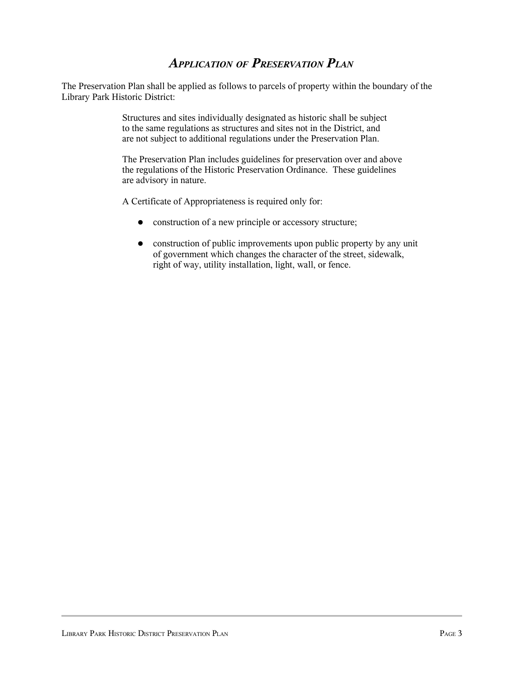# *APPLICATION OF PRESERVATION PLAN*

The Preservation Plan shall be applied as follows to parcels of property within the boundary of the Library Park Historic District:

> Structures and sites individually designated as historic shall be subject to the same regulations as structures and sites not in the District, and are not subject to additional regulations under the Preservation Plan.

The Preservation Plan includes guidelines for preservation over and above the regulations of the Historic Preservation Ordinance. These guidelines are advisory in nature.

A Certificate of Appropriateness is required only for:

- construction of a new principle or accessory structure;
- construction of public improvements upon public property by any unit of government which changes the character of the street, sidewalk, right of way, utility installation, light, wall, or fence.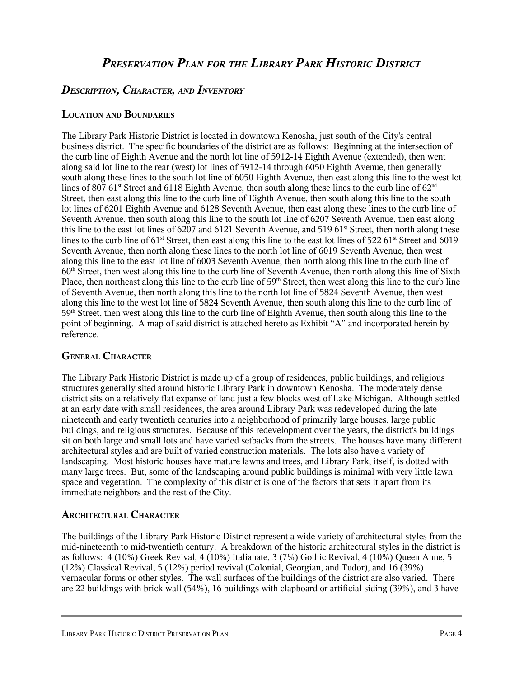# *PRESERVATION PLAN FOR THE LIBRARY PARK HISTORIC DISTRICT*

# *DESCRIPTION, CHARACTER, AND INVENTORY*

#### **LOCATION AND BOUNDARIES**

The Library Park Historic District is located in downtown Kenosha, just south of the City's central business district. The specific boundaries of the district are as follows: Beginning at the intersection of the curb line of Eighth Avenue and the north lot line of 5912-14 Eighth Avenue (extended), then went along said lot line to the rear (west) lot lines of 5912-14 through 6050 Eighth Avenue, then generally south along these lines to the south lot line of 6050 Eighth Avenue, then east along this line to the west lot lines of 807 61<sup>st</sup> Street and 6118 Eighth Avenue, then south along these lines to the curb line of 62<sup>nd</sup> Street, then east along this line to the curb line of Eighth Avenue, then south along this line to the south lot lines of 6201 Eighth Avenue and 6128 Seventh Avenue, then east along these lines to the curb line of Seventh Avenue, then south along this line to the south lot line of 6207 Seventh Avenue, then east along this line to the east lot lines of 6207 and 6121 Seventh Avenue, and 519 61<sup>st</sup> Street, then north along these lines to the curb line of 61<sup>st</sup> Street, then east along this line to the east lot lines of 522 61<sup>st</sup> Street and 6019 Seventh Avenue, then north along these lines to the north lot line of 6019 Seventh Avenue, then west along this line to the east lot line of 6003 Seventh Avenue, then north along this line to the curb line of 60<sup>th</sup> Street, then west along this line to the curb line of Seventh Avenue, then north along this line of Sixth Place, then northeast along this line to the curb line of 59<sup>th</sup> Street, then west along this line to the curb line of Seventh Avenue, then north along this line to the north lot line of 5824 Seventh Avenue, then west along this line to the west lot line of 5824 Seventh Avenue, then south along this line to the curb line of 59<sup>th</sup> Street, then west along this line to the curb line of Eighth Avenue, then south along this line to the point of beginning. A map of said district is attached hereto as Exhibit "A" and incorporated herein by reference.

#### **GENERAL CHARACTER**

The Library Park Historic District is made up of a group of residences, public buildings, and religious structures generally sited around historic Library Park in downtown Kenosha. The moderately dense district sits on a relatively flat expanse of land just a few blocks west of Lake Michigan. Although settled at an early date with small residences, the area around Library Park was redeveloped during the late nineteenth and early twentieth centuries into a neighborhood of primarily large houses, large public buildings, and religious structures. Because of this redevelopment over the years, the district's buildings sit on both large and small lots and have varied setbacks from the streets. The houses have many different architectural styles and are built of varied construction materials. The lots also have a variety of landscaping. Most historic houses have mature lawns and trees, and Library Park, itself, is dotted with many large trees. But, some of the landscaping around public buildings is minimal with very little lawn space and vegetation. The complexity of this district is one of the factors that sets it apart from its immediate neighbors and the rest of the City.

#### **ARCHITECTURAL CHARACTER**

The buildings of the Library Park Historic District represent a wide variety of architectural styles from the mid-nineteenth to mid-twentieth century. A breakdown of the historic architectural styles in the district is as follows: 4 (10%) Greek Revival, 4 (10%) Italianate, 3 (7%) Gothic Revival, 4 (10%) Queen Anne, 5 (12%) Classical Revival, 5 (12%) period revival (Colonial, Georgian, and Tudor), and 16 (39%) vernacular forms or other styles. The wall surfaces of the buildings of the district are also varied. There are 22 buildings with brick wall (54%), 16 buildings with clapboard or artificial siding (39%), and 3 have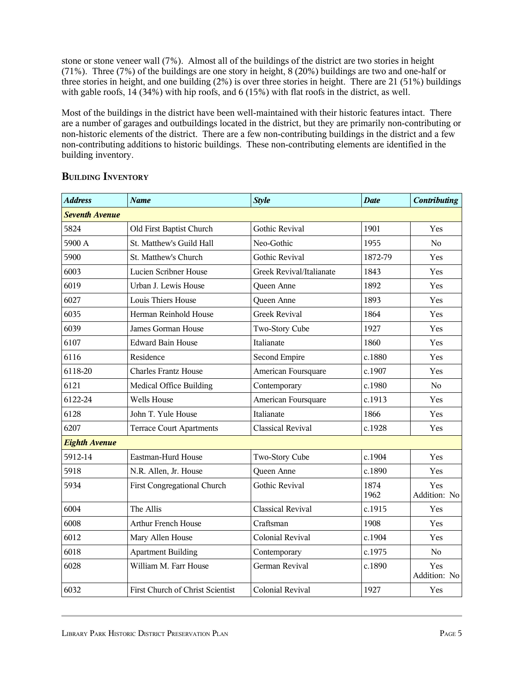stone or stone veneer wall (7%). Almost all of the buildings of the district are two stories in height (71%). Three (7%) of the buildings are one story in height, 8 (20%) buildings are two and one-half or three stories in height, and one building (2%) is over three stories in height. There are 21 (51%) buildings with gable roofs, 14 (34%) with hip roofs, and 6 (15%) with flat roofs in the district, as well.

Most of the buildings in the district have been well-maintained with their historic features intact. There are a number of garages and outbuildings located in the district, but they are primarily non-contributing or non-historic elements of the district. There are a few non-contributing buildings in the district and a few non-contributing additions to historic buildings. These non-contributing elements are identified in the building inventory.

| <b>Address</b>        | <b>Name</b>                      | <b>Style</b>             | <b>Date</b>  | <b>Contributing</b> |  |  |  |
|-----------------------|----------------------------------|--------------------------|--------------|---------------------|--|--|--|
| <b>Seventh Avenue</b> |                                  |                          |              |                     |  |  |  |
| 5824                  | Old First Baptist Church         | <b>Gothic Revival</b>    | 1901         | Yes                 |  |  |  |
| 5900 A                | St. Matthew's Guild Hall         | Neo-Gothic               | 1955         | N <sub>0</sub>      |  |  |  |
| 5900                  | St. Matthew's Church             | Gothic Revival           | 1872-79      | Yes                 |  |  |  |
| 6003                  | Lucien Scribner House            | Greek Revival/Italianate | 1843         | Yes                 |  |  |  |
| 6019                  | Urban J. Lewis House             | Queen Anne               | 1892         | Yes                 |  |  |  |
| 6027                  | Louis Thiers House               | Queen Anne               | 1893         | Yes                 |  |  |  |
| 6035                  | Herman Reinhold House            | <b>Greek Revival</b>     | 1864         | Yes                 |  |  |  |
| 6039                  | James Gorman House               | Two-Story Cube           | 1927         | Yes                 |  |  |  |
| 6107                  | <b>Edward Bain House</b>         | Italianate               | 1860         | Yes                 |  |  |  |
| 6116                  | Residence                        | Second Empire            | c.1880       | Yes                 |  |  |  |
| 6118-20               | <b>Charles Frantz House</b>      | American Foursquare      | c.1907       | Yes                 |  |  |  |
| 6121                  | Medical Office Building          | Contemporary             | c.1980       | N <sub>0</sub>      |  |  |  |
| 6122-24               | <b>Wells House</b>               | American Foursquare      | c.1913       | Yes                 |  |  |  |
| 6128                  | John T. Yule House               | Italianate               | 1866         | Yes                 |  |  |  |
| 6207                  | <b>Terrace Court Apartments</b>  | <b>Classical Revival</b> | c.1928       | Yes                 |  |  |  |
| <b>Eighth Avenue</b>  |                                  |                          |              |                     |  |  |  |
| 5912-14               | Eastman-Hurd House               | Two-Story Cube           | c.1904       | Yes                 |  |  |  |
| 5918                  | N.R. Allen, Jr. House            | Queen Anne               | c.1890       | Yes                 |  |  |  |
| 5934                  | First Congregational Church      | <b>Gothic Revival</b>    | 1874<br>1962 | Yes<br>Addition: No |  |  |  |
| 6004                  | The Allis                        | <b>Classical Revival</b> | c.1915       | Yes                 |  |  |  |
| 6008                  | <b>Arthur French House</b>       | Craftsman                | 1908         | Yes                 |  |  |  |
| 6012                  | Mary Allen House                 | Colonial Revival         | c.1904       | Yes                 |  |  |  |
| 6018                  | <b>Apartment Building</b>        | Contemporary             | c.1975       | No                  |  |  |  |
| 6028                  | William M. Farr House            | German Revival           | c.1890       | Yes<br>Addition: No |  |  |  |
| 6032                  | First Church of Christ Scientist | Colonial Revival         | 1927         | Yes                 |  |  |  |

#### **BUILDING INVENTORY**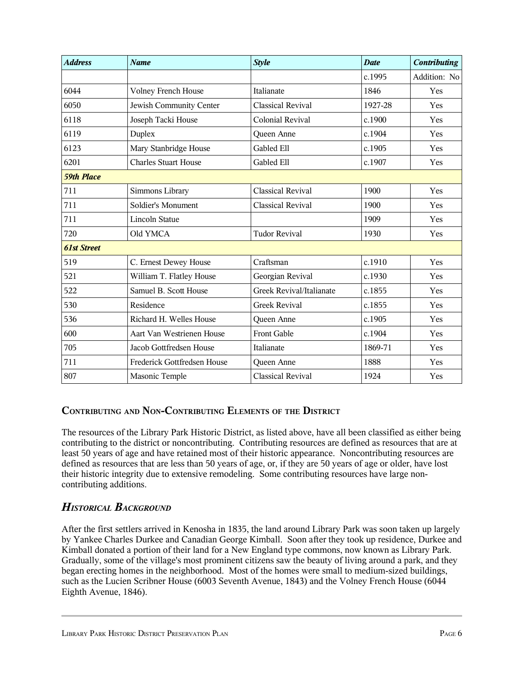| <b>Address</b>     | <b>Name</b>                 | <b>Style</b>             | <b>Date</b> | <b>Contributing</b> |  |  |  |
|--------------------|-----------------------------|--------------------------|-------------|---------------------|--|--|--|
|                    |                             |                          | c.1995      | Addition: No        |  |  |  |
| 6044               | <b>Volney French House</b>  | Italianate               | 1846        | Yes                 |  |  |  |
| 6050               | Jewish Community Center     | <b>Classical Revival</b> | 1927-28     | Yes                 |  |  |  |
| 6118               | Joseph Tacki House          | Colonial Revival         | c.1900      | Yes                 |  |  |  |
| 6119               | Duplex                      | Queen Anne               | c.1904      | Yes                 |  |  |  |
| 6123               | Mary Stanbridge House       | Gabled Ell               | c.1905      | Yes                 |  |  |  |
| 6201               | <b>Charles Stuart House</b> | Gabled Ell               | c.1907      | Yes                 |  |  |  |
| <b>59th Place</b>  |                             |                          |             |                     |  |  |  |
| 711                | Simmons Library             | <b>Classical Revival</b> | 1900        | Yes                 |  |  |  |
| 711                | Soldier's Monument          | <b>Classical Revival</b> | 1900        | Yes                 |  |  |  |
| 711                | <b>Lincoln Statue</b>       |                          | 1909        | Yes                 |  |  |  |
| 720                | Old YMCA                    | <b>Tudor Revival</b>     | 1930        | Yes                 |  |  |  |
| <b>61st Street</b> |                             |                          |             |                     |  |  |  |
| 519                | C. Ernest Dewey House       | Craftsman                | c.1910      | Yes                 |  |  |  |
| 521                | William T. Flatley House    | Georgian Revival         | c.1930      | Yes                 |  |  |  |
| 522                | Samuel B. Scott House       | Greek Revival/Italianate | c.1855      | Yes                 |  |  |  |
| 530                | Residence                   | <b>Greek Revival</b>     | c.1855      | Yes                 |  |  |  |
| 536                | Richard H. Welles House     | Queen Anne               | c.1905      | Yes                 |  |  |  |
| 600                | Aart Van Westrienen House   | Front Gable              | c.1904      | Yes                 |  |  |  |
| 705                | Jacob Gottfredsen House     | <b>Italianate</b>        | 1869-71     | Yes                 |  |  |  |
| 711                | Frederick Gottfredsen House | Queen Anne               | 1888        | Yes                 |  |  |  |
| 807                | Masonic Temple              | <b>Classical Revival</b> | 1924        | Yes                 |  |  |  |

# **CONTRIBUTING AND NON-CONTRIBUTING ELEMENTS OF THE DISTRICT**

The resources of the Library Park Historic District, as listed above, have all been classified as either being contributing to the district or noncontributing. Contributing resources are defined as resources that are at least 50 years of age and have retained most of their historic appearance. Noncontributing resources are defined as resources that are less than 50 years of age, or, if they are 50 years of age or older, have lost their historic integrity due to extensive remodeling. Some contributing resources have large noncontributing additions.

# *HISTORICAL BACKGROUND*

After the first settlers arrived in Kenosha in 1835, the land around Library Park was soon taken up largely by Yankee Charles Durkee and Canadian George Kimball. Soon after they took up residence, Durkee and Kimball donated a portion of their land for a New England type commons, now known as Library Park. Gradually, some of the village's most prominent citizens saw the beauty of living around a park, and they began erecting homes in the neighborhood. Most of the homes were small to medium-sized buildings, such as the Lucien Scribner House (6003 Seventh Avenue, 1843) and the Volney French House (6044 Eighth Avenue, 1846).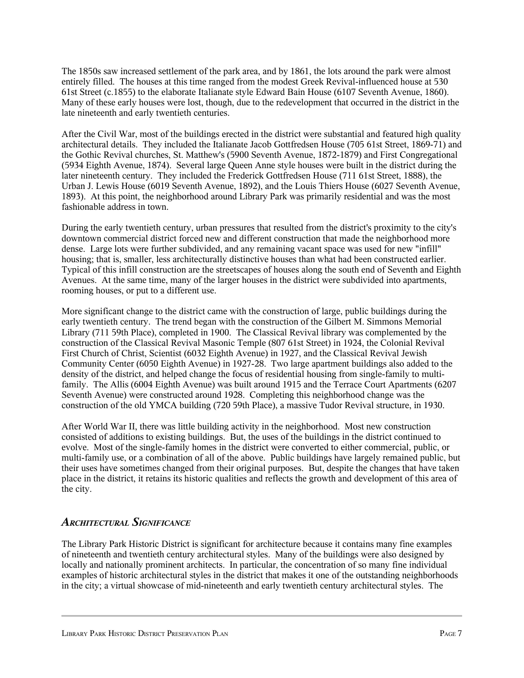The 1850s saw increased settlement of the park area, and by 1861, the lots around the park were almost entirely filled. The houses at this time ranged from the modest Greek Revival-influenced house at 530 61st Street (c.1855) to the elaborate Italianate style Edward Bain House (6107 Seventh Avenue, 1860). Many of these early houses were lost, though, due to the redevelopment that occurred in the district in the late nineteenth and early twentieth centuries.

After the Civil War, most of the buildings erected in the district were substantial and featured high quality architectural details. They included the Italianate Jacob Gottfredsen House (705 61st Street, 1869-71) and the Gothic Revival churches, St. Matthew's (5900 Seventh Avenue, 1872-1879) and First Congregational (5934 Eighth Avenue, 1874). Several large Queen Anne style houses were built in the district during the later nineteenth century. They included the Frederick Gottfredsen House (711 61st Street, 1888), the Urban J. Lewis House (6019 Seventh Avenue, 1892), and the Louis Thiers House (6027 Seventh Avenue, 1893). At this point, the neighborhood around Library Park was primarily residential and was the most fashionable address in town.

During the early twentieth century, urban pressures that resulted from the district's proximity to the city's downtown commercial district forced new and different construction that made the neighborhood more dense. Large lots were further subdivided, and any remaining vacant space was used for new "infill" housing; that is, smaller, less architecturally distinctive houses than what had been constructed earlier. Typical of this infill construction are the streetscapes of houses along the south end of Seventh and Eighth Avenues. At the same time, many of the larger houses in the district were subdivided into apartments, rooming houses, or put to a different use.

More significant change to the district came with the construction of large, public buildings during the early twentieth century. The trend began with the construction of the Gilbert M. Simmons Memorial Library (711 59th Place), completed in 1900. The Classical Revival library was complemented by the construction of the Classical Revival Masonic Temple (807 61st Street) in 1924, the Colonial Revival First Church of Christ, Scientist (6032 Eighth Avenue) in 1927, and the Classical Revival Jewish Community Center (6050 Eighth Avenue) in 1927-28. Two large apartment buildings also added to the density of the district, and helped change the focus of residential housing from single-family to multifamily. The Allis (6004 Eighth Avenue) was built around 1915 and the Terrace Court Apartments (6207 Seventh Avenue) were constructed around 1928. Completing this neighborhood change was the construction of the old YMCA building (720 59th Place), a massive Tudor Revival structure, in 1930.

After World War II, there was little building activity in the neighborhood. Most new construction consisted of additions to existing buildings. But, the uses of the buildings in the district continued to evolve. Most of the single-family homes in the district were converted to either commercial, public, or multi-family use, or a combination of all of the above. Public buildings have largely remained public, but their uses have sometimes changed from their original purposes. But, despite the changes that have taken place in the district, it retains its historic qualities and reflects the growth and development of this area of the city.

# *ARCHITECTURAL SIGNIFICANCE*

The Library Park Historic District is significant for architecture because it contains many fine examples of nineteenth and twentieth century architectural styles. Many of the buildings were also designed by locally and nationally prominent architects. In particular, the concentration of so many fine individual examples of historic architectural styles in the district that makes it one of the outstanding neighborhoods in the city; a virtual showcase of mid-nineteenth and early twentieth century architectural styles. The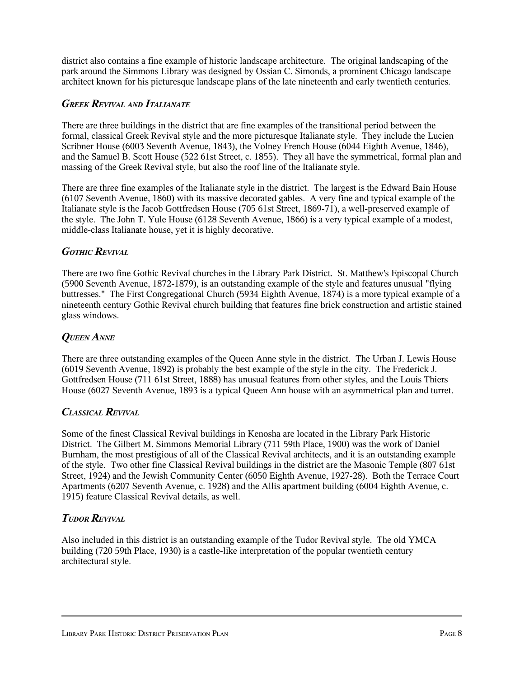district also contains a fine example of historic landscape architecture. The original landscaping of the park around the Simmons Library was designed by Ossian C. Simonds, a prominent Chicago landscape architect known for his picturesque landscape plans of the late nineteenth and early twentieth centuries.

#### *GREEK REVIVAL AND ITALIANATE*

There are three buildings in the district that are fine examples of the transitional period between the formal, classical Greek Revival style and the more picturesque Italianate style. They include the Lucien Scribner House (6003 Seventh Avenue, 1843), the Volney French House (6044 Eighth Avenue, 1846), and the Samuel B. Scott House (522 61st Street, c. 1855). They all have the symmetrical, formal plan and massing of the Greek Revival style, but also the roof line of the Italianate style.

There are three fine examples of the Italianate style in the district. The largest is the Edward Bain House (6107 Seventh Avenue, 1860) with its massive decorated gables. A very fine and typical example of the Italianate style is the Jacob Gottfredsen House (705 61st Street, 1869-71), a well-preserved example of the style. The John T. Yule House (6128 Seventh Avenue, 1866) is a very typical example of a modest, middle-class Italianate house, yet it is highly decorative.

#### *GOTHIC REVIVAL*

There are two fine Gothic Revival churches in the Library Park District. St. Matthew's Episcopal Church (5900 Seventh Avenue, 1872-1879), is an outstanding example of the style and features unusual "flying buttresses." The First Congregational Church (5934 Eighth Avenue, 1874) is a more typical example of a nineteenth century Gothic Revival church building that features fine brick construction and artistic stained glass windows.

#### *QUEEN ANNE*

There are three outstanding examples of the Queen Anne style in the district. The Urban J. Lewis House (6019 Seventh Avenue, 1892) is probably the best example of the style in the city. The Frederick J. Gottfredsen House (711 61st Street, 1888) has unusual features from other styles, and the Louis Thiers House (6027 Seventh Avenue, 1893 is a typical Queen Ann house with an asymmetrical plan and turret.

#### *CLASSICAL REVIVAL*

Some of the finest Classical Revival buildings in Kenosha are located in the Library Park Historic District. The Gilbert M. Simmons Memorial Library (711 59th Place, 1900) was the work of Daniel Burnham, the most prestigious of all of the Classical Revival architects, and it is an outstanding example of the style. Two other fine Classical Revival buildings in the district are the Masonic Temple (807 61st Street, 1924) and the Jewish Community Center (6050 Eighth Avenue, 1927-28). Both the Terrace Court Apartments (6207 Seventh Avenue, c. 1928) and the Allis apartment building (6004 Eighth Avenue, c. 1915) feature Classical Revival details, as well.

#### *TUDOR REVIVAL*

Also included in this district is an outstanding example of the Tudor Revival style. The old YMCA building (720 59th Place, 1930) is a castle-like interpretation of the popular twentieth century architectural style.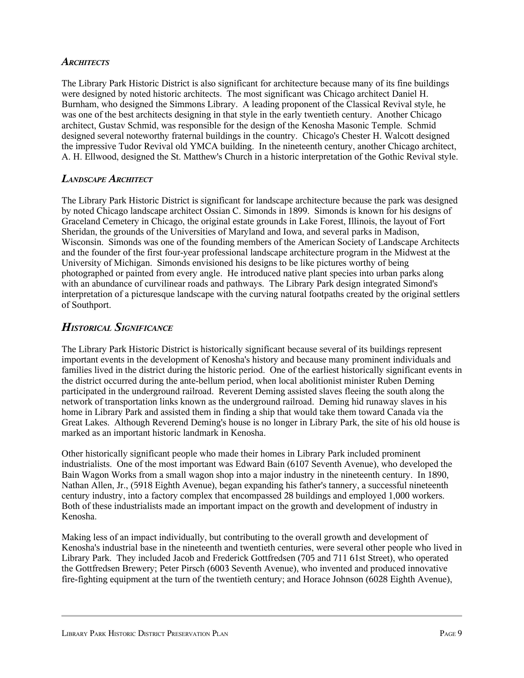#### *ARCHITECTS*

The Library Park Historic District is also significant for architecture because many of its fine buildings were designed by noted historic architects. The most significant was Chicago architect Daniel H. Burnham, who designed the Simmons Library. A leading proponent of the Classical Revival style, he was one of the best architects designing in that style in the early twentieth century. Another Chicago architect, Gustav Schmid, was responsible for the design of the Kenosha Masonic Temple. Schmid designed several noteworthy fraternal buildings in the country. Chicago's Chester H. Walcott designed the impressive Tudor Revival old YMCA building. In the nineteenth century, another Chicago architect, A. H. Ellwood, designed the St. Matthew's Church in a historic interpretation of the Gothic Revival style.

#### *LANDSCAPE ARCHITECT*

The Library Park Historic District is significant for landscape architecture because the park was designed by noted Chicago landscape architect Ossian C. Simonds in 1899. Simonds is known for his designs of Graceland Cemetery in Chicago, the original estate grounds in Lake Forest, Illinois, the layout of Fort Sheridan, the grounds of the Universities of Maryland and Iowa, and several parks in Madison, Wisconsin. Simonds was one of the founding members of the American Society of Landscape Architects and the founder of the first four-year professional landscape architecture program in the Midwest at the University of Michigan. Simonds envisioned his designs to be like pictures worthy of being photographed or painted from every angle. He introduced native plant species into urban parks along with an abundance of curvilinear roads and pathways. The Library Park design integrated Simond's interpretation of a picturesque landscape with the curving natural footpaths created by the original settlers of Southport.

# *HISTORICAL SIGNIFICANCE*

The Library Park Historic District is historically significant because several of its buildings represent important events in the development of Kenosha's history and because many prominent individuals and families lived in the district during the historic period. One of the earliest historically significant events in the district occurred during the ante-bellum period, when local abolitionist minister Ruben Deming participated in the underground railroad. Reverent Deming assisted slaves fleeing the south along the network of transportation links known as the underground railroad. Deming hid runaway slaves in his home in Library Park and assisted them in finding a ship that would take them toward Canada via the Great Lakes. Although Reverend Deming's house is no longer in Library Park, the site of his old house is marked as an important historic landmark in Kenosha.

Other historically significant people who made their homes in Library Park included prominent industrialists. One of the most important was Edward Bain (6107 Seventh Avenue), who developed the Bain Wagon Works from a small wagon shop into a major industry in the nineteenth century. In 1890, Nathan Allen, Jr., (5918 Eighth Avenue), began expanding his father's tannery, a successful nineteenth century industry, into a factory complex that encompassed 28 buildings and employed 1,000 workers. Both of these industrialists made an important impact on the growth and development of industry in Kenosha.

Making less of an impact individually, but contributing to the overall growth and development of Kenosha's industrial base in the nineteenth and twentieth centuries, were several other people who lived in Library Park. They included Jacob and Frederick Gottfredsen (705 and 711 61st Street), who operated the Gottfredsen Brewery; Peter Pirsch (6003 Seventh Avenue), who invented and produced innovative fire-fighting equipment at the turn of the twentieth century; and Horace Johnson (6028 Eighth Avenue),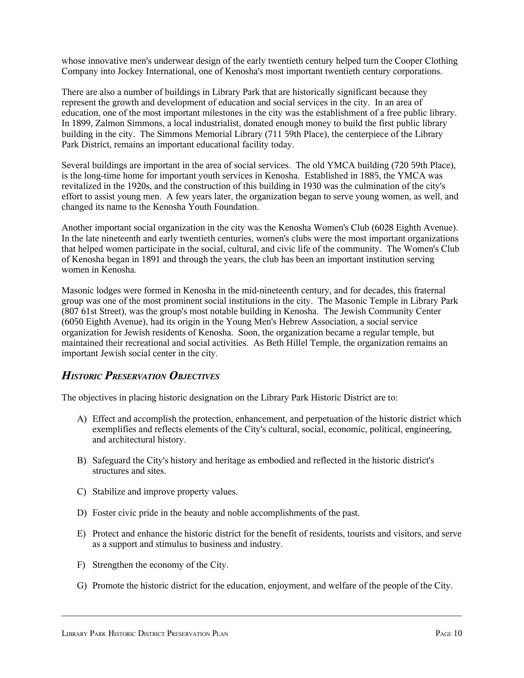whose innovative men's underwear design of the early twentieth century helped turn the Cooper Clothing Company into Jockey International, one of Kenosha's most important twentieth century corporations.

There are also a number of buildings in Library Park that are historically significant because they represent the growth and development of education and social services in the city. In an area of education, one of the most important milestones in the city was the establishment of a free public library. In 1899, Zalmon Simmons, a local industrialist, donated enough money to build the first public library building in the city. The Simmons Memorial Library (711 59th Place), the centerpiece of the Library Park District, remains an important educational facility today.

Several buildings are important in the area of social services. The old YMCA building (720 59th Place), is the long-time home for important youth services in Kenosha. Established in 1885, the YMCA was revitalized in the 1920s, and the construction of this building in 1930 was the culmination of the city's effort to assist young men. A few years later, the organization began to serve young women, as well, and changed its name to the Kenosha Youth Foundation.

Another important social organization in the city was the Kenosha Women's Club (6028 Eighth Avenue). In the late nineteenth and early twentieth centuries, women's clubs were the most important organizations that helped women participate in the social, cultural, and civic life of the community. The Women's Club of Kenosha began in 1891 and through the years, the club has been an important institution serving women in Kenosha.

Masonic lodges were formed in Kenosha in the mid-nineteenth century, and for decades, this fraternal group was one of the most prominent social institutions in the city. The Masonic Temple in Library Park (807 61st Street), was the group's most notable building in Kenosha. The Jewish Community Center (6050 Eighth Avenue), had its origin in the Young Men's Hebrew Association, a social service organization for Jewish residents of Kenosha. Soon, the organization became a regular temple, but maintained their recreational and social activities. As Beth Hillel Temple, the organization remains an important Jewish social center in the city.

# *HISTORIC PRESERVATION OBJECTIVES*

The objectives in placing historic designation on the Library Park Historic District are to:

- A) Effect and accomplish the protection, enhancement, and perpetuation of the historic district which exemplifies and reflects elements of the City's cultural, social, economic, political, engineering, and architectural history.
- B) Safeguard the City's history and heritage as embodied and reflected in the historic district's structures and sites.
- C) Stabilize and improve property values.
- D) Foster civic pride in the beauty and noble accomplishments of the past.
- E) Protect and enhance the historic district for the benefit of residents, tourists and visitors, and serve as a support and stimulus to business and industry.
- F) Strengthen the economy of the City.
- G) Promote the historic district for the education, enjoyment, and welfare of the people of the City.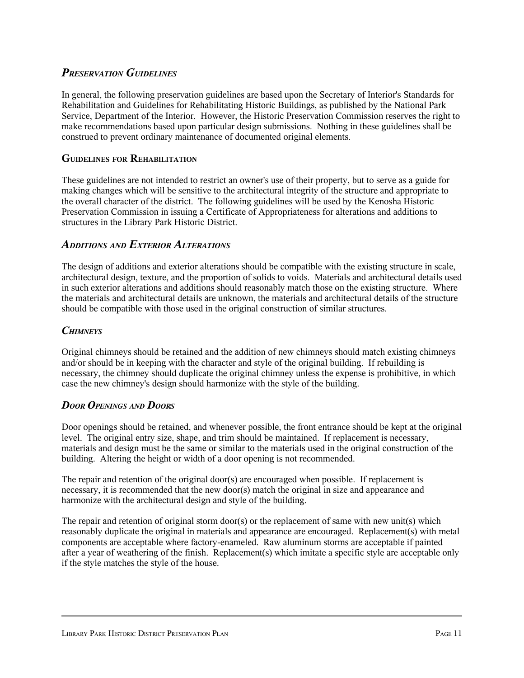# *PRESERVATION GUIDELINES*

In general, the following preservation guidelines are based upon the Secretary of Interior's Standards for Rehabilitation and Guidelines for Rehabilitating Historic Buildings, as published by the National Park Service, Department of the Interior. However, the Historic Preservation Commission reserves the right to make recommendations based upon particular design submissions. Nothing in these guidelines shall be construed to prevent ordinary maintenance of documented original elements.

#### **GUIDELINES FOR REHABILITATION**

These guidelines are not intended to restrict an owner's use of their property, but to serve as a guide for making changes which will be sensitive to the architectural integrity of the structure and appropriate to the overall character of the district. The following guidelines will be used by the Kenosha Historic Preservation Commission in issuing a Certificate of Appropriateness for alterations and additions to structures in the Library Park Historic District.

#### *ADDITIONS AND EXTERIOR ALTERATIONS*

The design of additions and exterior alterations should be compatible with the existing structure in scale, architectural design, texture, and the proportion of solids to voids. Materials and architectural details used in such exterior alterations and additions should reasonably match those on the existing structure. Where the materials and architectural details are unknown, the materials and architectural details of the structure should be compatible with those used in the original construction of similar structures.

#### *CHIMNEYS*

Original chimneys should be retained and the addition of new chimneys should match existing chimneys and/or should be in keeping with the character and style of the original building. If rebuilding is necessary, the chimney should duplicate the original chimney unless the expense is prohibitive, in which case the new chimney's design should harmonize with the style of the building.

#### *DOOR OPENINGS AND DOORS*

Door openings should be retained, and whenever possible, the front entrance should be kept at the original level. The original entry size, shape, and trim should be maintained. If replacement is necessary, materials and design must be the same or similar to the materials used in the original construction of the building. Altering the height or width of a door opening is not recommended.

The repair and retention of the original door(s) are encouraged when possible. If replacement is necessary, it is recommended that the new door(s) match the original in size and appearance and harmonize with the architectural design and style of the building.

The repair and retention of original storm door(s) or the replacement of same with new unit(s) which reasonably duplicate the original in materials and appearance are encouraged. Replacement(s) with metal components are acceptable where factory-enameled. Raw aluminum storms are acceptable if painted after a year of weathering of the finish. Replacement(s) which imitate a specific style are acceptable only if the style matches the style of the house.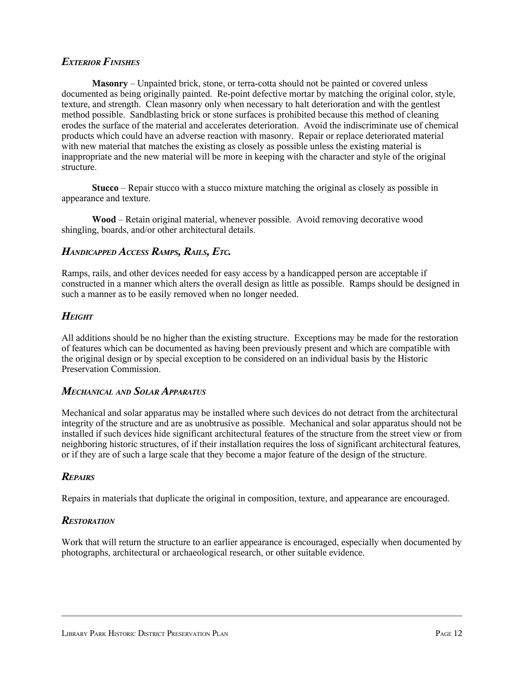#### *EXTERIOR FINISHES*

**Masonry** – Unpainted brick, stone, or terra-cotta should not be painted or covered unless documented as being originally painted. Re-point defective mortar by matching the original color, style, texture, and strength. Clean masonry only when necessary to halt deterioration and with the gentlest method possible. Sandblasting brick or stone surfaces is prohibited because this method of cleaning erodes the surface of the material and accelerates deterioration. Avoid the indiscriminate use of chemical products which could have an adverse reaction with masonry. Repair or replace deteriorated material with new material that matches the existing as closely as possible unless the existing material is inappropriate and the new material will be more in keeping with the character and style of the original structure.

**Stucco** – Repair stucco with a stucco mixture matching the original as closely as possible in appearance and texture.

**Wood** – Retain original material, whenever possible. Avoid removing decorative wood shingling, boards, and/or other architectural details.

#### *HANDICAPPED ACCESS RAMPS, RAILS, ETC.*

Ramps, rails, and other devices needed for easy access by a handicapped person are acceptable if constructed in a manner which alters the overall design as little as possible. Ramps should be designed in such a manner as to be easily removed when no longer needed.

#### *HEIGHT*

All additions should be no higher than the existing structure. Exceptions may be made for the restoration of features which can be documented as having been previously present and which are compatible with the original design or by special exception to be considered on an individual basis by the Historic Preservation Commission.

#### *MECHANICAL AND SOLAR APPARATUS*

Mechanical and solar apparatus may be installed where such devices do not detract from the architectural integrity of the structure and are as unobtrusive as possible. Mechanical and solar apparatus should not be installed if such devices hide significant architectural features of the structure from the street view or from neighboring historic structures, of if their installation requires the loss of significant architectural features, or if they are of such a large scale that they become a major feature of the design of the structure.

#### *REPAIRS*

Repairs in materials that duplicate the original in composition, texture, and appearance are encouraged.

#### *RESTORATION*

Work that will return the structure to an earlier appearance is encouraged, especially when documented by photographs, architectural or archaeological research, or other suitable evidence.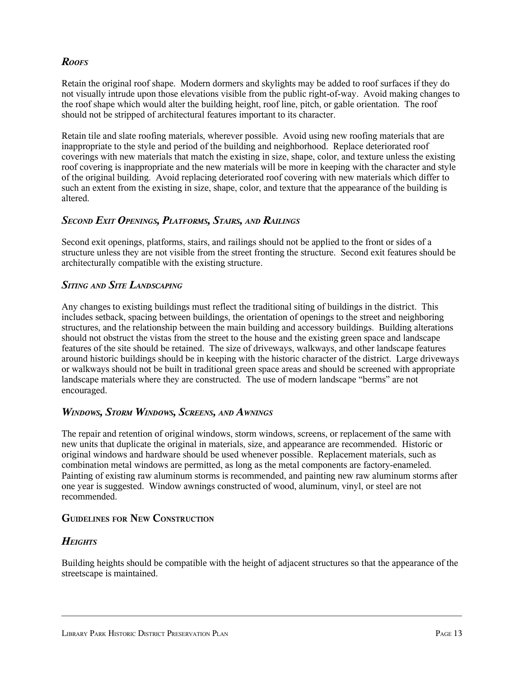### *ROOFS*

Retain the original roof shape. Modern dormers and skylights may be added to roof surfaces if they do not visually intrude upon those elevations visible from the public right-of-way. Avoid making changes to the roof shape which would alter the building height, roof line, pitch, or gable orientation. The roof should not be stripped of architectural features important to its character.

Retain tile and slate roofing materials, wherever possible. Avoid using new roofing materials that are inappropriate to the style and period of the building and neighborhood. Replace deteriorated roof coverings with new materials that match the existing in size, shape, color, and texture unless the existing roof covering is inappropriate and the new materials will be more in keeping with the character and style of the original building. Avoid replacing deteriorated roof covering with new materials which differ to such an extent from the existing in size, shape, color, and texture that the appearance of the building is altered.

# *SECOND EXIT OPENINGS, PLATFORMS, STAIRS, AND RAILINGS*

Second exit openings, platforms, stairs, and railings should not be applied to the front or sides of a structure unless they are not visible from the street fronting the structure. Second exit features should be architecturally compatible with the existing structure.

#### *SITING AND SITE LANDSCAPING*

Any changes to existing buildings must reflect the traditional siting of buildings in the district. This includes setback, spacing between buildings, the orientation of openings to the street and neighboring structures, and the relationship between the main building and accessory buildings. Building alterations should not obstruct the vistas from the street to the house and the existing green space and landscape features of the site should be retained. The size of driveways, walkways, and other landscape features around historic buildings should be in keeping with the historic character of the district. Large driveways or walkways should not be built in traditional green space areas and should be screened with appropriate landscape materials where they are constructed. The use of modern landscape "berms" are not encouraged.

#### *WINDOWS, STORM WINDOWS, SCREENS, AND AWNINGS*

The repair and retention of original windows, storm windows, screens, or replacement of the same with new units that duplicate the original in materials, size, and appearance are recommended. Historic or original windows and hardware should be used whenever possible. Replacement materials, such as combination metal windows are permitted, as long as the metal components are factory-enameled. Painting of existing raw aluminum storms is recommended, and painting new raw aluminum storms after one year is suggested. Window awnings constructed of wood, aluminum, vinyl, or steel are not recommended.

#### **GUIDELINES FOR NEW CONSTRUCTION**

#### *HEIGHTS*

Building heights should be compatible with the height of adjacent structures so that the appearance of the streetscape is maintained.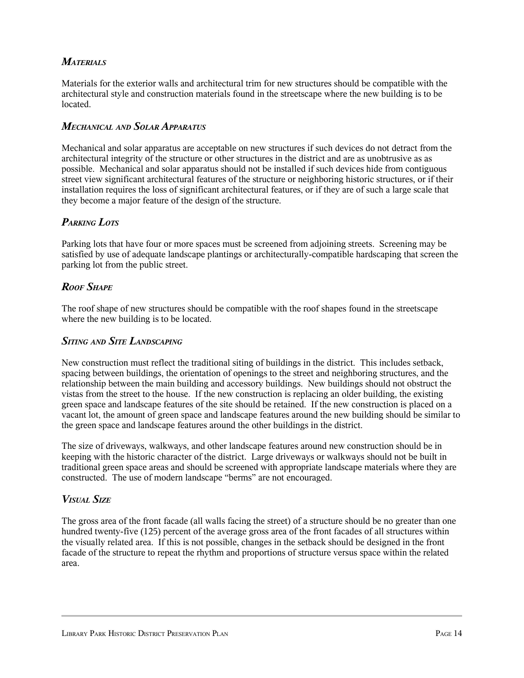# *MATERIALS*

Materials for the exterior walls and architectural trim for new structures should be compatible with the architectural style and construction materials found in the streetscape where the new building is to be located.

#### *MECHANICAL AND SOLAR APPARATUS*

Mechanical and solar apparatus are acceptable on new structures if such devices do not detract from the architectural integrity of the structure or other structures in the district and are as unobtrusive as as possible. Mechanical and solar apparatus should not be installed if such devices hide from contiguous street view significant architectural features of the structure or neighboring historic structures, or if their installation requires the loss of significant architectural features, or if they are of such a large scale that they become a major feature of the design of the structure.

# *PARKING LOTS*

Parking lots that have four or more spaces must be screened from adjoining streets. Screening may be satisfied by use of adequate landscape plantings or architecturally-compatible hardscaping that screen the parking lot from the public street.

#### *ROOF SHAPE*

The roof shape of new structures should be compatible with the roof shapes found in the streetscape where the new building is to be located.

#### *SITING AND SITE LANDSCAPING*

New construction must reflect the traditional siting of buildings in the district. This includes setback, spacing between buildings, the orientation of openings to the street and neighboring structures, and the relationship between the main building and accessory buildings. New buildings should not obstruct the vistas from the street to the house. If the new construction is replacing an older building, the existing green space and landscape features of the site should be retained. If the new construction is placed on a vacant lot, the amount of green space and landscape features around the new building should be similar to the green space and landscape features around the other buildings in the district.

The size of driveways, walkways, and other landscape features around new construction should be in keeping with the historic character of the district. Large driveways or walkways should not be built in traditional green space areas and should be screened with appropriate landscape materials where they are constructed. The use of modern landscape "berms" are not encouraged.

#### *VISUAL SIZE*

The gross area of the front facade (all walls facing the street) of a structure should be no greater than one hundred twenty-five (125) percent of the average gross area of the front facades of all structures within the visually related area. If this is not possible, changes in the setback should be designed in the front facade of the structure to repeat the rhythm and proportions of structure versus space within the related area.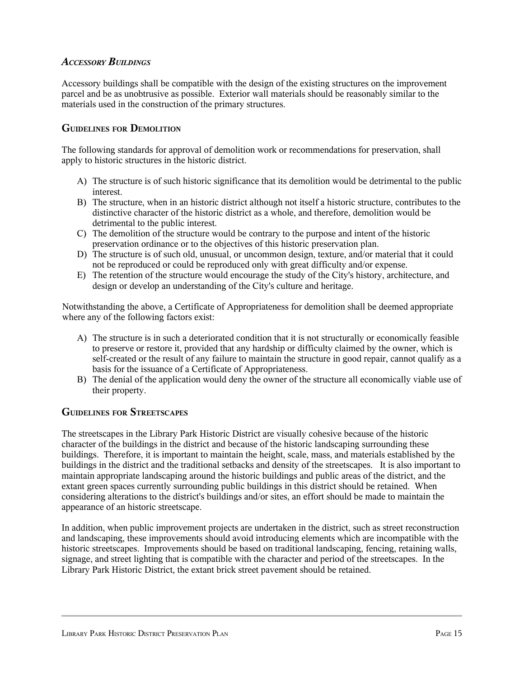#### *ACCESSORY BUILDINGS*

Accessory buildings shall be compatible with the design of the existing structures on the improvement parcel and be as unobtrusive as possible. Exterior wall materials should be reasonably similar to the materials used in the construction of the primary structures.

#### **GUIDELINES FOR DEMOLITION**

The following standards for approval of demolition work or recommendations for preservation, shall apply to historic structures in the historic district.

- A) The structure is of such historic significance that its demolition would be detrimental to the public interest.
- B) The structure, when in an historic district although not itself a historic structure, contributes to the distinctive character of the historic district as a whole, and therefore, demolition would be detrimental to the public interest.
- C) The demolition of the structure would be contrary to the purpose and intent of the historic preservation ordinance or to the objectives of this historic preservation plan.
- D) The structure is of such old, unusual, or uncommon design, texture, and/or material that it could not be reproduced or could be reproduced only with great difficulty and/or expense.
- E) The retention of the structure would encourage the study of the City's history, architecture, and design or develop an understanding of the City's culture and heritage.

Notwithstanding the above, a Certificate of Appropriateness for demolition shall be deemed appropriate where any of the following factors exist:

- A) The structure is in such a deteriorated condition that it is not structurally or economically feasible to preserve or restore it, provided that any hardship or difficulty claimed by the owner, which is self-created or the result of any failure to maintain the structure in good repair, cannot qualify as a basis for the issuance of a Certificate of Appropriateness.
- B) The denial of the application would deny the owner of the structure all economically viable use of their property.

#### **GUIDELINES FOR STREETSCAPES**

The streetscapes in the Library Park Historic District are visually cohesive because of the historic character of the buildings in the district and because of the historic landscaping surrounding these buildings. Therefore, it is important to maintain the height, scale, mass, and materials established by the buildings in the district and the traditional setbacks and density of the streetscapes. It is also important to maintain appropriate landscaping around the historic buildings and public areas of the district, and the extant green spaces currently surrounding public buildings in this district should be retained. When considering alterations to the district's buildings and/or sites, an effort should be made to maintain the appearance of an historic streetscape.

In addition, when public improvement projects are undertaken in the district, such as street reconstruction and landscaping, these improvements should avoid introducing elements which are incompatible with the historic streetscapes. Improvements should be based on traditional landscaping, fencing, retaining walls, signage, and street lighting that is compatible with the character and period of the streetscapes. In the Library Park Historic District, the extant brick street pavement should be retained.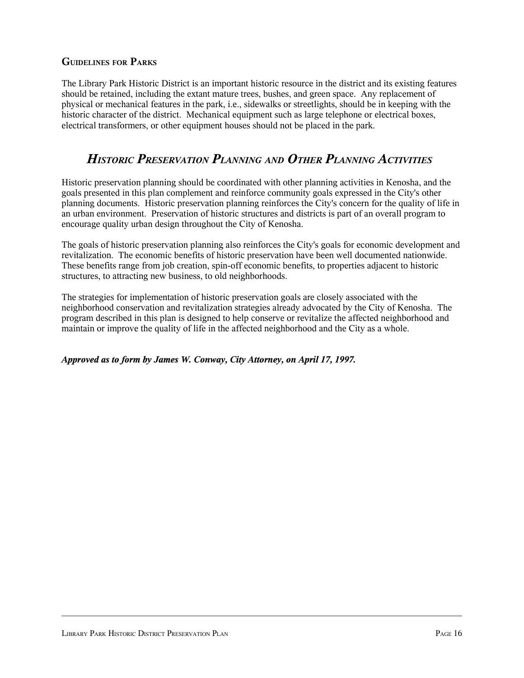#### **GUIDELINES FOR PARKS**

The Library Park Historic District is an important historic resource in the district and its existing features should be retained, including the extant mature trees, bushes, and green space. Any replacement of physical or mechanical features in the park, i.e., sidewalks or streetlights, should be in keeping with the historic character of the district. Mechanical equipment such as large telephone or electrical boxes, electrical transformers, or other equipment houses should not be placed in the park.

# *HISTORIC PRESERVATION PLANNING AND OTHER PLANNING ACTIVITIES*

Historic preservation planning should be coordinated with other planning activities in Kenosha, and the goals presented in this plan complement and reinforce community goals expressed in the City's other planning documents. Historic preservation planning reinforces the City's concern for the quality of life in an urban environment. Preservation of historic structures and districts is part of an overall program to encourage quality urban design throughout the City of Kenosha.

The goals of historic preservation planning also reinforces the City's goals for economic development and revitalization. The economic benefits of historic preservation have been well documented nationwide. These benefits range from job creation, spin-off economic benefits, to properties adjacent to historic structures, to attracting new business, to old neighborhoods.

The strategies for implementation of historic preservation goals are closely associated with the neighborhood conservation and revitalization strategies already advocated by the City of Kenosha. The program described in this plan is designed to help conserve or revitalize the affected neighborhood and maintain or improve the quality of life in the affected neighborhood and the City as a whole.

*Approved as to form by James W. Conway, City Attorney, on April 17, 1997.*